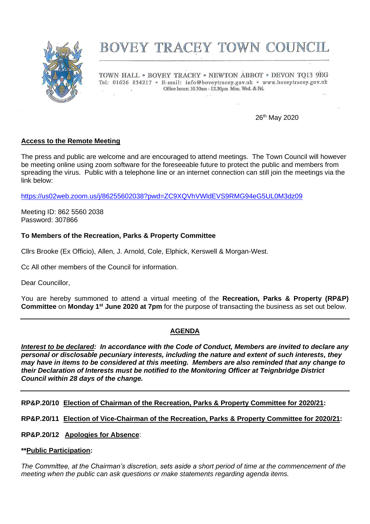

# BOVEY TRACEY TOWN COUNCIL

TOWN HALL . BOVEY TRACEY . NEWTON ABBOT . DEVON TQ13 9EG Tel: 01626 834217 · E-mail: info@boveytracey.gov.uk · www.boveytracey.gov.uk Office hours: 10.30am - 12.30pm Mon. Wed. & Fri.  $\mathcal{L}_{\mathcal{A}}$ 

26th May 2020

# **Access to the Remote Meeting**

The press and public are welcome and are encouraged to attend meetings. The Town Council will however be meeting online using zoom software for the foreseeable future to protect the public and members from spreading the virus. Public with a telephone line or an internet connection can still join the meetings via the link below:

<https://us02web.zoom.us/j/86255602038?pwd=ZC9XQVhVWldEVS9RMG94eG5UL0M3dz09>

Meeting ID: 862 5560 2038 Password: 307866

## **To Members of the Recreation, Parks & Property Committee**

Cllrs Brooke (Ex Officio), Allen, J. Arnold, Cole, Elphick, Kerswell & Morgan-West.

Cc All other members of the Council for information.

Dear Councillor,

You are hereby summoned to attend a virtual meeting of the **Recreation, Parks & Property (RP&P) Committee** on **Monday 1 st June 2020 at 7pm** for the purpose of transacting the business as set out below.

# **AGENDA**

*Interest to be declared: In accordance with the Code of Conduct, Members are invited to declare any personal or disclosable pecuniary interests, including the nature and extent of such interests, they may have in items to be considered at this meeting. Members are also reminded that any change to their Declaration of Interests must be notified to the Monitoring Officer at Teignbridge District Council within 28 days of the change.*

**RP&P.20/10 Election of Chairman of the Recreation, Parks & Property Committee for 2020/21:**

**RP&P.20/11 Election of Vice-Chairman of the Recreation, Parks & Property Committee for 2020/21:**

#### **RP&P.20/12 Apologies for Absence**:

#### **\*\*Public Participation:**

*The Committee, at the Chairman's discretion, sets aside a short period of time at the commencement of the meeting when the public can ask questions or make statements regarding agenda items.*